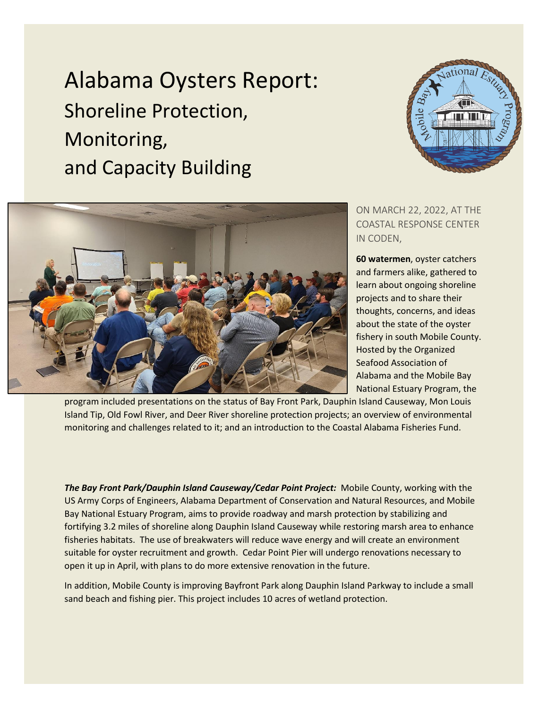Alabama Oysters Report: Shoreline Protection, Monitoring, and Capacity Building





ON MARCH 22, 2022, AT THE COASTAL RESPONSE CENTER IN CODEN,

**60 watermen**, oyster catchers and farmers alike, gathered to learn about ongoing shoreline projects and to share their thoughts, concerns, and ideas about the state of the oyster fishery in south Mobile County. Hosted by the Organized Seafood Association of Alabama and the Mobile Bay National Estuary Program, the

program included presentations on the status of Bay Front Park, Dauphin Island Causeway, Mon Louis Island Tip, Old Fowl River, and Deer River shoreline protection projects; an overview of environmental monitoring and challenges related to it; and an introduction to the Coastal Alabama Fisheries Fund.

*The Bay Front Park/Dauphin Island Causeway/Cedar Point Project:* Mobile County, working with the US Army Corps of Engineers, Alabama Department of Conservation and Natural Resources, and Mobile Bay National Estuary Program, aims to provide roadway and marsh protection by stabilizing and fortifying 3.2 miles of shoreline along Dauphin Island Causeway while restoring marsh area to enhance fisheries habitats. The use of breakwaters will reduce wave energy and will create an environment suitable for oyster recruitment and growth. Cedar Point Pier will undergo renovations necessary to open it up in April, with plans to do more extensive renovation in the future.

In addition, Mobile County is improving Bayfront Park along Dauphin Island Parkway to include a small sand beach and fishing pier. This project includes 10 acres of wetland protection.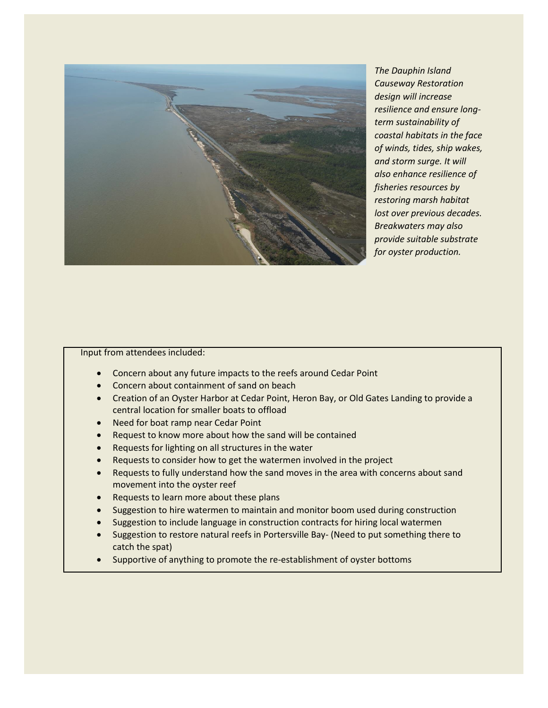

*The Dauphin Island Causeway Restoration design will increase resilience and ensure longterm sustainability of coastal habitats in the face of winds, tides, ship wakes, and storm surge. It will also enhance resilience of fisheries resources by restoring marsh habitat lost over previous decades. Breakwaters may also provide suitable substrate for oyster production.*

## Input from attendees included:

- Concern about any future impacts to the reefs around Cedar Point
- Concern about containment of sand on beach
- Creation of an Oyster Harbor at Cedar Point, Heron Bay, or Old Gates Landing to provide a central location for smaller boats to offload
- Need for boat ramp near Cedar Point
- Request to know more about how the sand will be contained
- Requests for lighting on all structures in the water
- Requests to consider how to get the watermen involved in the project
- Requests to fully understand how the sand moves in the area with concerns about sand movement into the oyster reef
- Requests to learn more about these plans
- Suggestion to hire watermen to maintain and monitor boom used during construction
- Suggestion to include language in construction contracts for hiring local watermen
- Suggestion to restore natural reefs in Portersville Bay- (Need to put something there to catch the spat)
- Supportive of anything to promote the re-establishment of oyster bottoms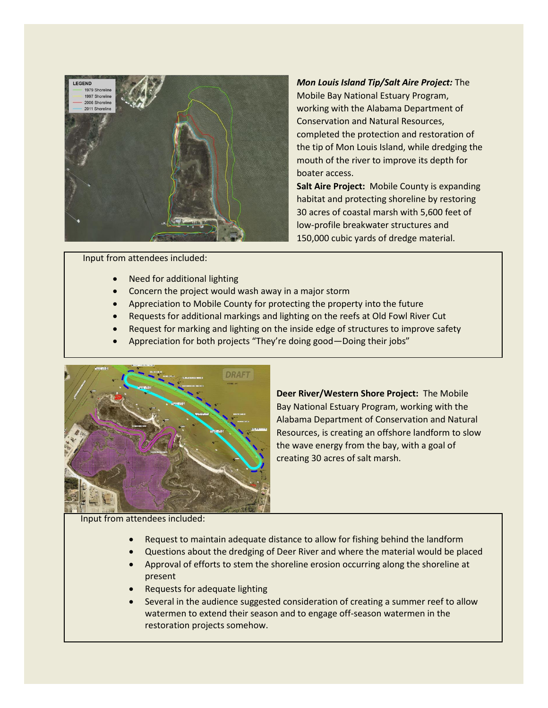

*Mon Louis Island Tip/Salt Aire Project:* The Mobile Bay National Estuary Program, working with the Alabama Department of Conservation and Natural Resources, completed the protection and restoration of the tip of Mon Louis Island, while dredging the mouth of the river to improve its depth for boater access.

**Salt Aire Project:** Mobile County is expanding habitat and protecting shoreline by restoring 30 acres of coastal marsh with 5,600 feet of low-profile breakwater structures and 150,000 cubic yards of dredge material.

Input from attendees included:

- Need for additional lighting
- Concern the project would wash away in a major storm
- Appreciation to Mobile County for protecting the property into the future
- Requests for additional markings and lighting on the reefs at Old Fowl River Cut
- Request for marking and lighting on the inside edge of structures to improve safety
- Appreciation for both projects "They're doing good—Doing their jobs"



**Deer River/Western Shore Project:** The Mobile Bay National Estuary Program, working with the Alabama Department of Conservation and Natural Resources, is creating an offshore landform to slow the wave energy from the bay, with a goal of creating 30 acres of salt marsh.

Input from attendees included:

- Request to maintain adequate distance to allow for fishing behind the landform
- Questions about the dredging of Deer River and where the material would be placed
- Approval of efforts to stem the shoreline erosion occurring along the shoreline at present
- Requests for adequate lighting
- Several in the audience suggested consideration of creating a summer reef to allow watermen to extend their season and to engage off-season watermen in the restoration projects somehow.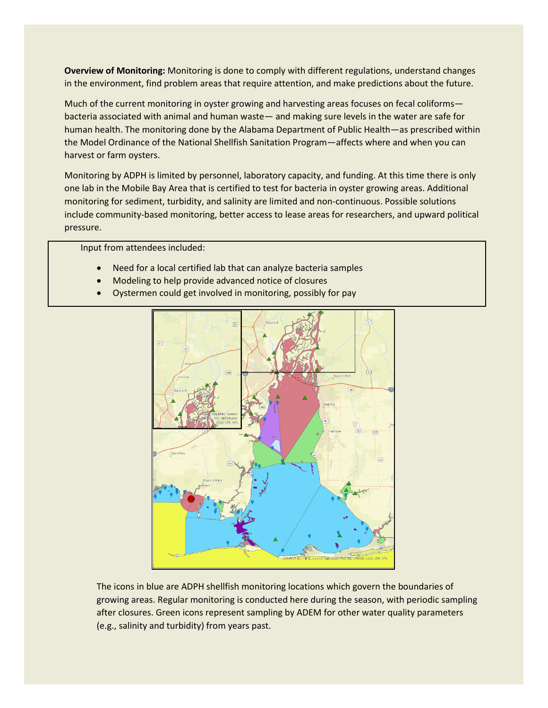**Overview of Monitoring:** Monitoring is done to comply with different regulations, understand changes in the environment, find problem areas that require attention, and make predictions about the future.

Much of the current monitoring in oyster growing and harvesting areas focuses on fecal coliforms bacteria associated with animal and human waste— and making sure levels in the water are safe for human health. The monitoring done by the Alabama Department of Public Health—as prescribed within the Model Ordinance of the National Shellfish Sanitation Program—affects where and when you can harvest or farm oysters.

Monitoring by ADPH is limited by personnel, laboratory capacity, and funding. At this time there is only one lab in the Mobile Bay Area that is certified to test for bacteria in oyster growing areas. Additional monitoring for sediment, turbidity, and salinity are limited and non-continuous. Possible solutions include community-based monitoring, better access to lease areas for researchers, and upward political pressure.

Input from attendees included:

- Need for a local certified lab that can analyze bacteria samples
- Modeling to help provide advanced notice of closures
- Oystermen could get involved in monitoring, possibly for pay



The icons in blue are ADPH shellfish monitoring locations which govern the boundaries of growing areas. Regular monitoring is conducted here during the season, with periodic sampling after closures. Green icons represent sampling by ADEM for other water quality parameters (e.g., salinity and turbidity) from years past.